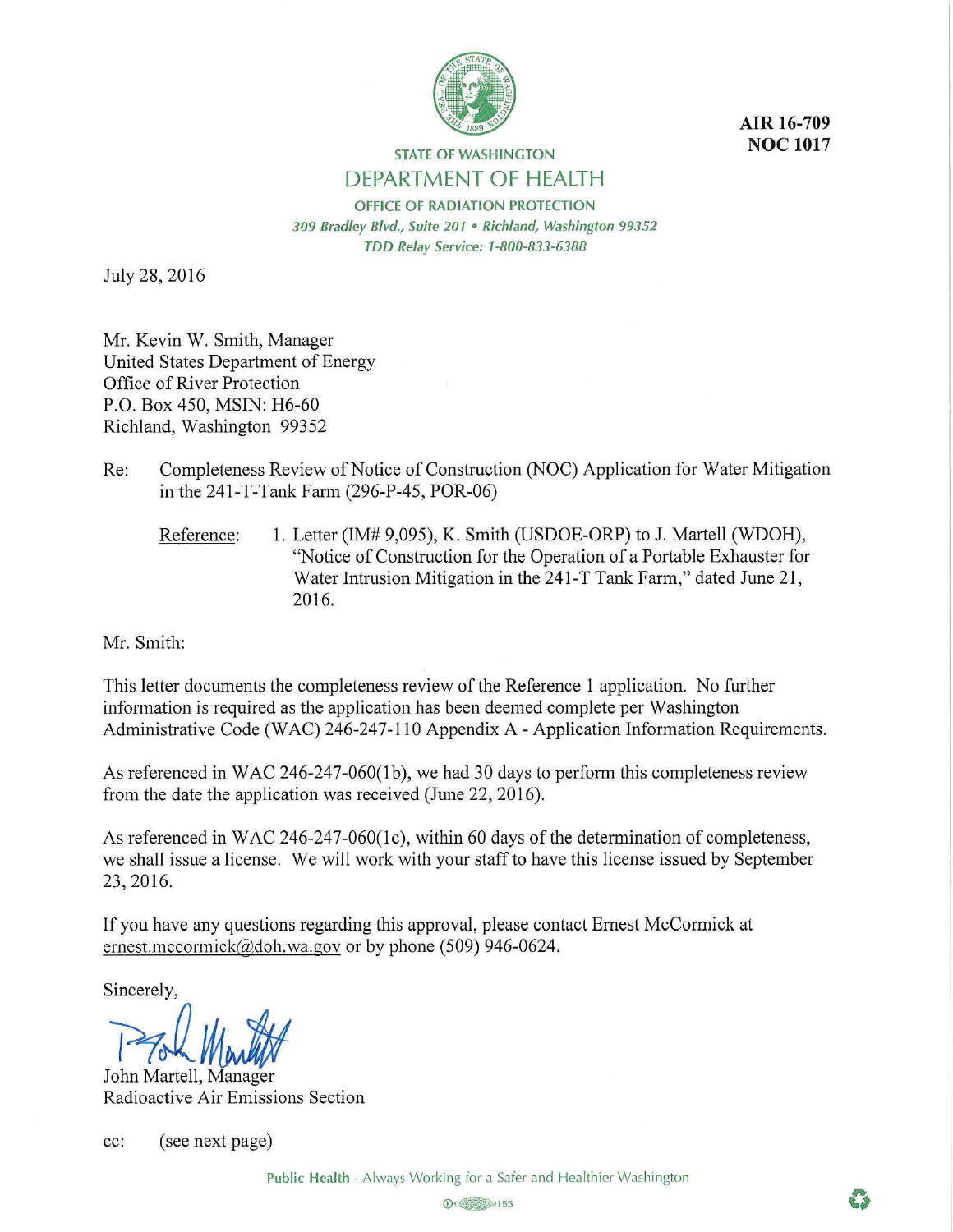

**AIR 16-709 NOC 1017** 

## **STATE OF WASHINGTON**  DEPARTMENT OF HEALTH

**OFFICE OF RADIATION PROTECTION**  *309 Bradley Blvd., Suite 201* • *Richland, Washington 99352 TDD Relay Service: 1-800-833-6388* 

July 28, 2016

Mr. Kevin W. Smith, Manager United States Department of Energy Office of River Protection P.O. Box 450, MSIN: H6-60 Richland, Washington 99352

- Re: Completeness Review of Notice of Construction (NOC) Application for Water Mitigation in the 241-T-Tank Farm (296-P-45, POR-06)
	- Reference: 1. Letter (IM# 9,095), K. Smith (USDOE-ORP) to J. Martell (WDOH), "Notice of Construction for the Operation of a Portable Exhauster for Water Intrusion Mitigation in the 241-T Tank Farm," dated June 21, 2016.

Mr. Smith:

This letter documents the completeness review of the Reference 1 application. No further information is required as the application has been deemed complete per Washington Administrative Code (WAC) 246-247-110 Appendix A - Application Information Requirements.

As referenced in WAC 246-247-060(1b), we had 30 days to perform this completeness review from the date the application was received (June 22, 2016).

As referenced in WAC 246-247-060(1c), within 60 days of the determination of completeness, we shall issue a license. We will work with your staff to have this license issued by September 23, 2016.

If you have any questions regarding this approval, please contact Ernest McCormick at ernest.mccormick@doh.wa.gov or by phone (509) 946-0624.

Sincerely,

**Process Monthly** 

Radioactive Air Emissions Section

cc: (see next page)

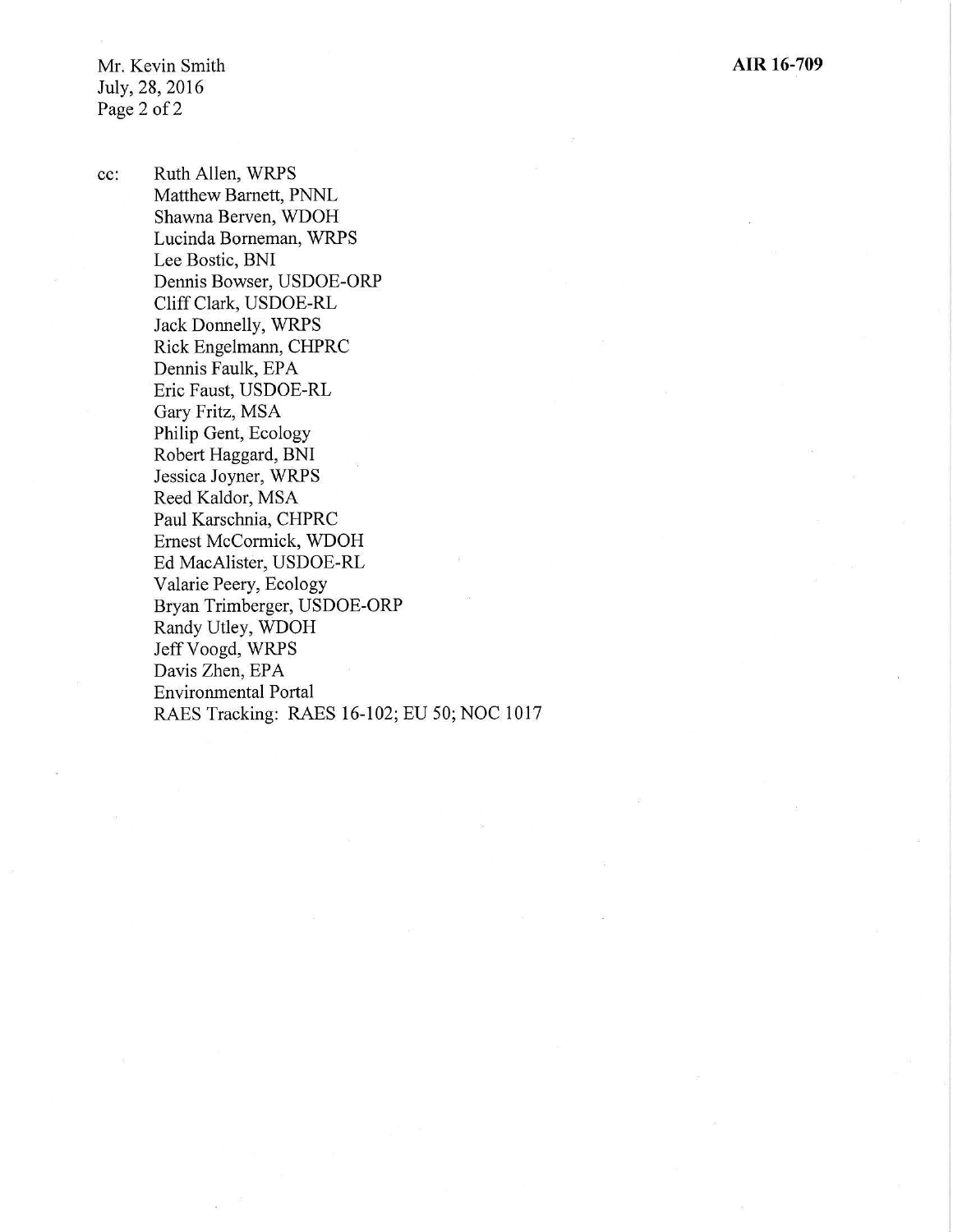Mr. Kevin Smith July, 28, 2016 Page 2 of 2

cc: Ruth Allen, WRPS Matthew Barnett, PNNL Shawna Berven, WDOH Lucinda Borneman, WRPS Lee Bostic, BNI Dennis Bowser, USDOE-ORP Cliff Clark, USDOE-RL Jack Donnelly, WRPS Rick Engelmann, CHPRC Dennis Faulk, EPA Eric Faust, USDOE-RL Gary Fritz, MSA Philip Gent, Ecology Robert Haggard, BNI Jessica Joyner, WRPS Reed Kaldor, MSA Paul Karschnia, CHPRC Ernest McCormick, WDOH Ed MacAlister, USDOE-RL Valarie Peery, Ecology Bryan Trimberger, USDOE-ORP Randy Utley, WDOH Jeff Voogd, WRPS Davis Zhen, EPA Environmental Portal RAES Tracking: RAES 16-102; EU 50; NOC 1017